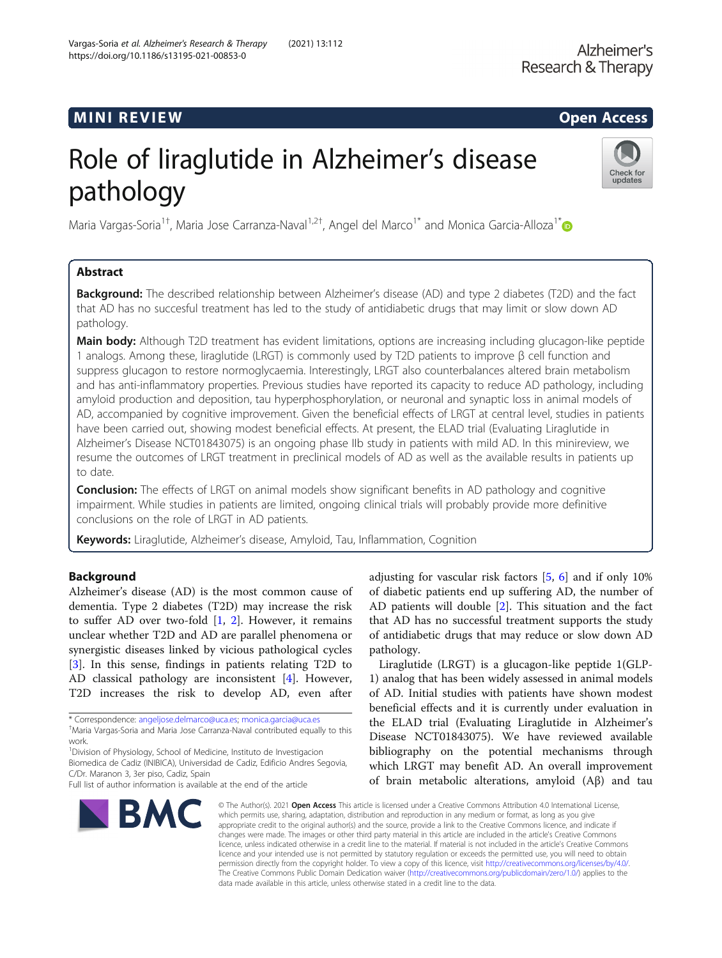## **MINI REVIEW CONTROL**

# Role of liraglutide in Alzheimer's disease pathology



Maria Vargas-Soria<sup>1†</sup>, Maria Jose Carranza-Naval<sup>1,2†</sup>, Angel del Marco<sup>1\*</sup> and Monica Garcia-Alloza<sup>1\*</sup>

## Abstract

**Background:** The described relationship between Alzheimer's disease (AD) and type 2 diabetes (T2D) and the fact that AD has no succesful treatment has led to the study of antidiabetic drugs that may limit or slow down AD pathology.

Main body: Although T2D treatment has evident limitations, options are increasing including glucagon-like peptide 1 analogs. Among these, liraglutide (LRGT) is commonly used by T2D patients to improve β cell function and suppress glucagon to restore normoglycaemia. Interestingly, LRGT also counterbalances altered brain metabolism and has anti-inflammatory properties. Previous studies have reported its capacity to reduce AD pathology, including amyloid production and deposition, tau hyperphosphorylation, or neuronal and synaptic loss in animal models of AD, accompanied by cognitive improvement. Given the beneficial effects of LRGT at central level, studies in patients have been carried out, showing modest beneficial effects. At present, the ELAD trial (Evaluating Liraglutide in Alzheimer's Disease NCT01843075) is an ongoing phase IIb study in patients with mild AD. In this minireview, we resume the outcomes of LRGT treatment in preclinical models of AD as well as the available results in patients up to date.

**Conclusion:** The effects of LRGT on animal models show significant benefits in AD pathology and cognitive impairment. While studies in patients are limited, ongoing clinical trials will probably provide more definitive conclusions on the role of LRGT in AD patients.

Keywords: Liraglutide, Alzheimer's disease, Amyloid, Tau, Inflammation, Cognition

## Background

Alzheimer's disease (AD) is the most common cause of dementia. Type 2 diabetes (T2D) may increase the risk to suffer AD over two-fold  $[1, 2]$  $[1, 2]$  $[1, 2]$  $[1, 2]$ . However, it remains unclear whether T2D and AD are parallel phenomena or synergistic diseases linked by vicious pathological cycles [[3\]](#page-2-0). In this sense, findings in patients relating T2D to AD classical pathology are inconsistent [\[4](#page-3-0)]. However, T2D increases the risk to develop AD, even after

\* Correspondence: [angeljose.delmarco@uca.es;](mailto:angeljose.delmarco@uca.es) [monica.garcia@uca.es](mailto:monica.garcia@uca.es) †

<sup>1</sup> Division of Physiology, School of Medicine, Instituto de Investigacion Biomedica de Cadiz (INIBICA), Universidad de Cadiz, Edificio Andres Segovia, C/Dr. Maranon 3, 3er piso, Cadiz, Spain

Full list of author information is available at the end of the article



adjusting for vascular risk factors [\[5](#page-3-0), [6](#page-3-0)] and if only 10% of diabetic patients end up suffering AD, the number of AD patients will double [\[2](#page-2-0)]. This situation and the fact that AD has no successful treatment supports the study of antidiabetic drugs that may reduce or slow down AD pathology.

Liraglutide (LRGT) is a glucagon-like peptide 1(GLP-1) analog that has been widely assessed in animal models of AD. Initial studies with patients have shown modest beneficial effects and it is currently under evaluation in the ELAD trial (Evaluating Liraglutide in Alzheimer's Disease NCT01843075). We have reviewed available bibliography on the potential mechanisms through which LRGT may benefit AD. An overall improvement of brain metabolic alterations, amyloid (Aβ) and tau

© The Author(s), 2021 **Open Access** This article is licensed under a Creative Commons Attribution 4.0 International License, which permits use, sharing, adaptation, distribution and reproduction in any medium or format, as long as you give appropriate credit to the original author(s) and the source, provide a link to the Creative Commons licence, and indicate if changes were made. The images or other third party material in this article are included in the article's Creative Commons licence, unless indicated otherwise in a credit line to the material. If material is not included in the article's Creative Commons licence and your intended use is not permitted by statutory regulation or exceeds the permitted use, you will need to obtain permission directly from the copyright holder. To view a copy of this licence, visit [http://creativecommons.org/licenses/by/4.0/.](http://creativecommons.org/licenses/by/4.0/) The Creative Commons Public Domain Dedication waiver [\(http://creativecommons.org/publicdomain/zero/1.0/](http://creativecommons.org/publicdomain/zero/1.0/)) applies to the data made available in this article, unless otherwise stated in a credit line to the data.

Maria Vargas-Soria and Maria Jose Carranza-Naval contributed equally to this work.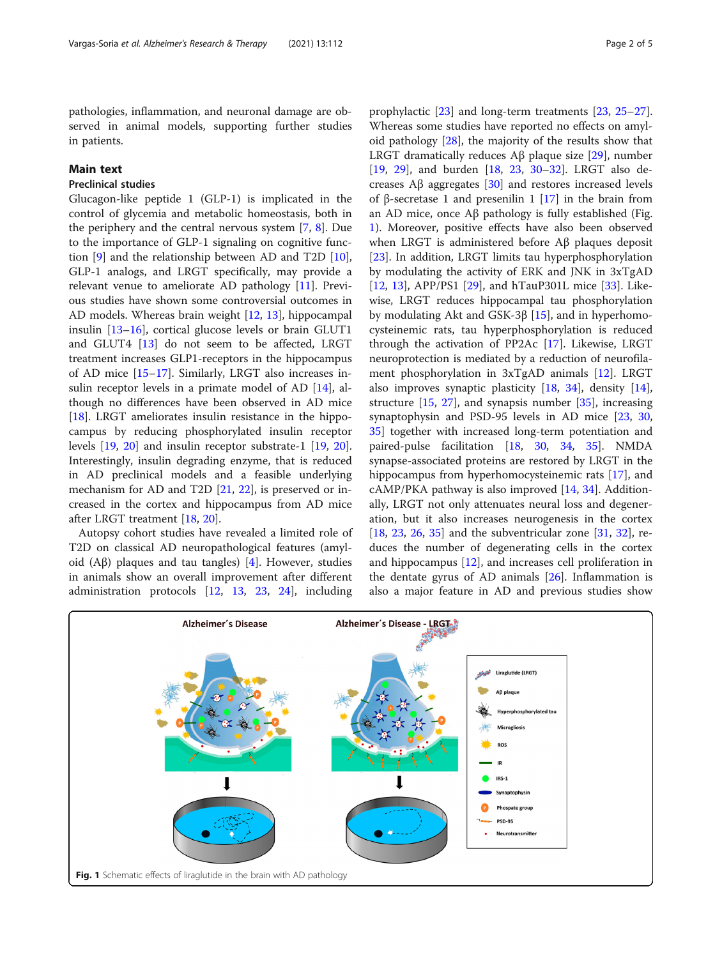<span id="page-1-0"></span>pathologies, inflammation, and neuronal damage are observed in animal models, supporting further studies in patients.

## Main text

## Preclinical studies

Glucagon-like peptide 1 (GLP-1) is implicated in the control of glycemia and metabolic homeostasis, both in the periphery and the central nervous system [[7,](#page-3-0) [8](#page-3-0)]. Due to the importance of GLP-1 signaling on cognitive function [\[9](#page-3-0)] and the relationship between AD and T2D [\[10](#page-3-0)], GLP-1 analogs, and LRGT specifically, may provide a relevant venue to ameliorate AD pathology [[11\]](#page-3-0). Previous studies have shown some controversial outcomes in AD models. Whereas brain weight [[12,](#page-3-0) [13\]](#page-3-0), hippocampal insulin [[13](#page-3-0)–[16](#page-3-0)], cortical glucose levels or brain GLUT1 and GLUT4 [\[13](#page-3-0)] do not seem to be affected, LRGT treatment increases GLP1-receptors in the hippocampus of AD mice [[15](#page-3-0)–[17\]](#page-3-0). Similarly, LRGT also increases insulin receptor levels in a primate model of AD [\[14\]](#page-3-0), although no differences have been observed in AD mice [[18\]](#page-3-0). LRGT ameliorates insulin resistance in the hippocampus by reducing phosphorylated insulin receptor levels [[19,](#page-3-0) [20\]](#page-3-0) and insulin receptor substrate-1 [[19](#page-3-0), [20](#page-3-0)]. Interestingly, insulin degrading enzyme, that is reduced in AD preclinical models and a feasible underlying mechanism for AD and T2D [[21,](#page-3-0) [22\]](#page-3-0), is preserved or increased in the cortex and hippocampus from AD mice after LRGT treatment [[18](#page-3-0), [20](#page-3-0)].

Autopsy cohort studies have revealed a limited role of T2D on classical AD neuropathological features (amyloid  $(A\beta)$  plaques and tau tangles) [\[4](#page-3-0)]. However, studies in animals show an overall improvement after different administration protocols [\[12](#page-3-0), [13](#page-3-0), [23,](#page-3-0) [24\]](#page-3-0), including

prophylactic [[23\]](#page-3-0) and long-term treatments [\[23,](#page-3-0) [25](#page-3-0)–[27](#page-3-0)]. Whereas some studies have reported no effects on amyloid pathology [[28\]](#page-3-0), the majority of the results show that LRGT dramatically reduces Aβ plaque size [\[29\]](#page-3-0), number [[19,](#page-3-0) [29\]](#page-3-0), and burden [\[18](#page-3-0), [23](#page-3-0), [30](#page-3-0)–[32](#page-3-0)]. LRGT also decreases Aβ aggregates [[30](#page-3-0)] and restores increased levels of β-secretase 1 and presenilin 1 [[17](#page-3-0)] in the brain from an AD mice, once Aβ pathology is fully established (Fig. 1). Moreover, positive effects have also been observed when LRGT is administered before Aβ plaques deposit [[23\]](#page-3-0). In addition, LRGT limits tau hyperphosphorylation by modulating the activity of ERK and JNK in 3xTgAD [[12,](#page-3-0) [13](#page-3-0)], APP/PS1 [\[29](#page-3-0)], and hTauP301L mice [\[33\]](#page-3-0). Likewise, LRGT reduces hippocampal tau phosphorylation by modulating Akt and GSK-3β [\[15](#page-3-0)], and in hyperhomocysteinemic rats, tau hyperphosphorylation is reduced through the activation of PP2Ac [[17](#page-3-0)]. Likewise, LRGT neuroprotection is mediated by a reduction of neurofilament phosphorylation in 3xTgAD animals [\[12](#page-3-0)]. LRGT also improves synaptic plasticity [[18,](#page-3-0) [34](#page-3-0)], density [\[14](#page-3-0)], structure  $[15, 27]$  $[15, 27]$  $[15, 27]$  $[15, 27]$  $[15, 27]$ , and synapsis number  $[35]$  $[35]$ , increasing synaptophysin and PSD-95 levels in AD mice [[23,](#page-3-0) [30](#page-3-0), [35\]](#page-3-0) together with increased long-term potentiation and paired-pulse facilitation [[18,](#page-3-0) [30,](#page-3-0) [34](#page-3-0), [35](#page-3-0)]. NMDA synapse-associated proteins are restored by LRGT in the hippocampus from hyperhomocysteinemic rats [\[17\]](#page-3-0), and  $cAMP/PKA$  pathway is also improved  $[14, 34]$  $[14, 34]$  $[14, 34]$  $[14, 34]$ . Additionally, LRGT not only attenuates neural loss and degeneration, but it also increases neurogenesis in the cortex [[18,](#page-3-0) [23](#page-3-0), [26,](#page-3-0) [35\]](#page-3-0) and the subventricular zone [[31,](#page-3-0) [32](#page-3-0)], reduces the number of degenerating cells in the cortex and hippocampus [[12\]](#page-3-0), and increases cell proliferation in the dentate gyrus of AD animals [[26\]](#page-3-0). Inflammation is also a major feature in AD and previous studies show

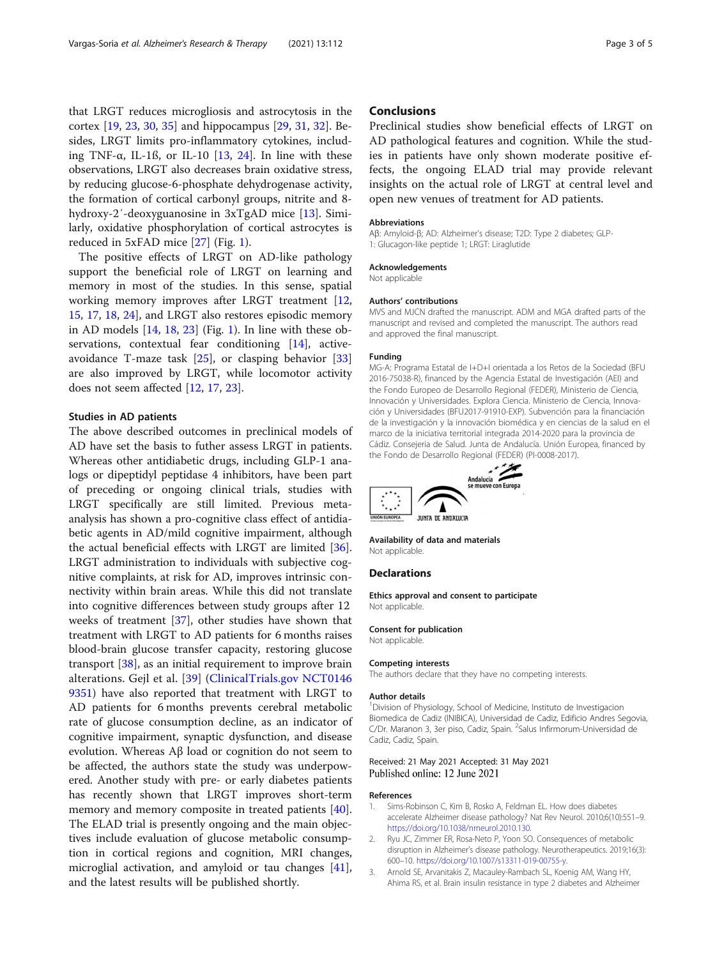<span id="page-2-0"></span>that LRGT reduces microgliosis and astrocytosis in the cortex [\[19](#page-3-0), [23](#page-3-0), [30](#page-3-0), [35](#page-3-0)] and hippocampus [[29](#page-3-0), [31](#page-3-0), [32](#page-3-0)]. Besides, LRGT limits pro-inflammatory cytokines, including TNF- $\alpha$ , IL-1ß, or IL-10 [[13,](#page-3-0) [24\]](#page-3-0). In line with these observations, LRGT also decreases brain oxidative stress, by reducing glucose-6-phosphate dehydrogenase activity, the formation of cortical carbonyl groups, nitrite and 8 hydroxy-2′-deoxyguanosine in 3xTgAD mice [\[13\]](#page-3-0). Similarly, oxidative phosphorylation of cortical astrocytes is reduced in 5xFAD mice [[27\]](#page-3-0) (Fig. [1](#page-1-0)).

The positive effects of LRGT on AD-like pathology support the beneficial role of LRGT on learning and memory in most of the studies. In this sense, spatial working memory improves after LRGT treatment [[12](#page-3-0), [15,](#page-3-0) [17,](#page-3-0) [18,](#page-3-0) [24\]](#page-3-0), and LRGT also restores episodic memory in AD models [[14,](#page-3-0) [18,](#page-3-0) [23\]](#page-3-0) (Fig. [1\)](#page-1-0). In line with these ob-servations, contextual fear conditioning [\[14](#page-3-0)], activeavoidance T-maze task [[25\]](#page-3-0), or clasping behavior [[33](#page-3-0)] are also improved by LRGT, while locomotor activity does not seem affected [\[12](#page-3-0), [17](#page-3-0), [23\]](#page-3-0).

### Studies in AD patients

The above described outcomes in preclinical models of AD have set the basis to futher assess LRGT in patients. Whereas other antidiabetic drugs, including GLP-1 analogs or dipeptidyl peptidase 4 inhibitors, have been part of preceding or ongoing clinical trials, studies with LRGT specifically are still limited. Previous metaanalysis has shown a pro-cognitive class effect of antidiabetic agents in AD/mild cognitive impairment, although the actual beneficial effects with LRGT are limited [\[36](#page-3-0)]. LRGT administration to individuals with subjective cognitive complaints, at risk for AD, improves intrinsic connectivity within brain areas. While this did not translate into cognitive differences between study groups after 12 weeks of treatment [\[37](#page-3-0)], other studies have shown that treatment with LRGT to AD patients for 6 months raises blood-brain glucose transfer capacity, restoring glucose transport [\[38](#page-4-0)], as an initial requirement to improve brain alterations. Gejl et al. [\[39](#page-4-0)] ([ClinicalTrials.gov](http://clinicaltrials.gov) [NCT0146](http://clinicaltrials.gov/show/NCT01469351) [9351](http://clinicaltrials.gov/show/NCT01469351)) have also reported that treatment with LRGT to AD patients for 6 months prevents cerebral metabolic rate of glucose consumption decline, as an indicator of cognitive impairment, synaptic dysfunction, and disease evolution. Whereas Aβ load or cognition do not seem to be affected, the authors state the study was underpowered. Another study with pre- or early diabetes patients has recently shown that LRGT improves short-term memory and memory composite in treated patients [\[40](#page-4-0)]. The ELAD trial is presently ongoing and the main objectives include evaluation of glucose metabolic consumption in cortical regions and cognition, MRI changes, microglial activation, and amyloid or tau changes [\[41](#page-4-0)], and the latest results will be published shortly.

## **Conclusions**

Preclinical studies show beneficial effects of LRGT on AD pathological features and cognition. While the studies in patients have only shown moderate positive effects, the ongoing ELAD trial may provide relevant insights on the actual role of LRGT at central level and open new venues of treatment for AD patients.

#### Abbreviations

Aβ: Amyloid-β; AD: Alzheimer's disease; T2D: Type 2 diabetes; GLP-1: Glucagon-like peptide 1; LRGT: Liraglutide

#### Acknowledgements

Not applicable

#### Authors' contributions

MVS and MJCN drafted the manuscript. ADM and MGA drafted parts of the manuscript and revised and completed the manuscript. The authors read and approved the final manuscript.

#### Funding

MG-A: Programa Estatal de I+D+I orientada a los Retos de la Sociedad (BFU 2016-75038-R), financed by the Agencia Estatal de Investigación (AEI) and the Fondo Europeo de Desarrollo Regional (FEDER), Ministerio de Ciencia, Innovación y Universidades. Explora Ciencia. Ministerio de Ciencia, Innovación y Universidades (BFU2017-91910-EXP). Subvención para la financiación de la investigación y la innovación biomédica y en ciencias de la salud en el marco de la iniciativa territorial integrada 2014-2020 para la provincia de Cádiz. Consejeria de Salud. Junta de Andalucía. Unión Europea, financed by the Fondo de Desarrollo Regional (FEDER) (PI-0008-2017).



Availability of data and materials Not applicable.

### **Declarations**

Ethics approval and consent to participate Not applicable.

#### Consent for publication

Not applicable.

#### Competing interests

The authors declare that they have no competing interests.

#### Author details

<sup>1</sup> Division of Physiology, School of Medicine, Instituto de Investigacion Biomedica de Cadiz (INIBICA), Universidad de Cadiz, Edificio Andres Segovia, C/Dr. Maranon 3, 3er piso, Cadiz, Spain. <sup>2</sup>Salus Infirmorum-Universidad de Cadiz, Cadiz, Spain.

#### Received: 21 May 2021 Accepted: 31 May 2021 Published online: 12 June 2021

#### References

- 1. Sims-Robinson C, Kim B, Rosko A, Feldman EL. How does diabetes accelerate Alzheimer disease pathology? Nat Rev Neurol. 2010;6(10):551–9. <https://doi.org/10.1038/nrneurol.2010.130>.
- 2. Ryu JC, Zimmer ER, Rosa-Neto P, Yoon SO. Consequences of metabolic disruption in Alzheimer's disease pathology. Neurotherapeutics. 2019;16(3): 600–10. <https://doi.org/10.1007/s13311-019-00755-y>.
- 3. Arnold SE, Arvanitakis Z, Macauley-Rambach SL, Koenig AM, Wang HY, Ahima RS, et al. Brain insulin resistance in type 2 diabetes and Alzheimer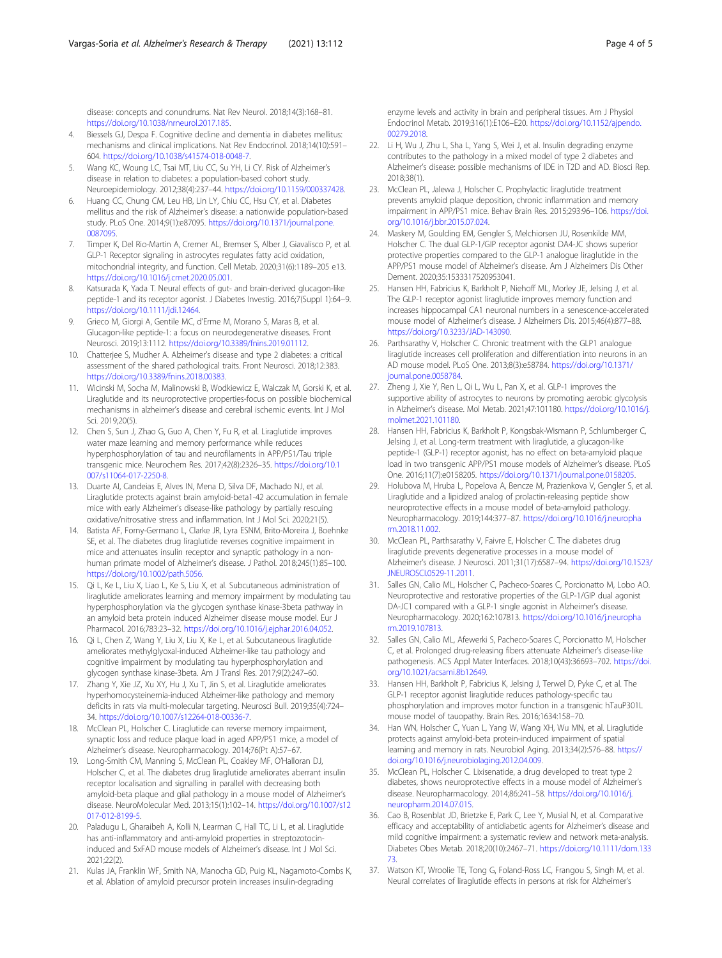<span id="page-3-0"></span>disease: concepts and conundrums. Nat Rev Neurol. 2018;14(3):168–81. <https://doi.org/10.1038/nrneurol.2017.185>.

- 4. Biessels GJ, Despa F. Cognitive decline and dementia in diabetes mellitus: mechanisms and clinical implications. Nat Rev Endocrinol. 2018;14(10):591– 604. [https://doi.org/10.1038/s41574-018-0048-7.](https://doi.org/10.1038/s41574-018-0048-7)
- 5. Wang KC, Woung LC, Tsai MT, Liu CC, Su YH, Li CY. Risk of Alzheimer's disease in relation to diabetes: a population-based cohort study. Neuroepidemiology. 2012;38(4):237–44. [https://doi.org/10.1159/000337428.](https://doi.org/10.1159/000337428)
- 6. Huang CC, Chung CM, Leu HB, Lin LY, Chiu CC, Hsu CY, et al. Diabetes mellitus and the risk of Alzheimer's disease: a nationwide population-based study. PLoS One. 2014;9(1):e87095. [https://doi.org/10.1371/journal.pone.](https://doi.org/10.1371/journal.pone.0087095) [0087095.](https://doi.org/10.1371/journal.pone.0087095)
- 7. Timper K, Del Rio-Martin A, Cremer AL, Bremser S, Alber J, Giavalisco P, et al. GLP-1 Receptor signaling in astrocytes regulates fatty acid oxidation, mitochondrial integrity, and function. Cell Metab. 2020;31(6):1189–205 e13. <https://doi.org/10.1016/j.cmet.2020.05.001>.
- 8. Katsurada K, Yada T. Neural effects of gut- and brain-derived glucagon-like peptide-1 and its receptor agonist. J Diabetes Investig. 2016;7(Suppl 1):64–9. [https://doi.org/10.1111/jdi.12464.](https://doi.org/10.1111/jdi.12464)
- 9. Grieco M, Giorgi A, Gentile MC, d'Erme M, Morano S, Maras B, et al. Glucagon-like peptide-1: a focus on neurodegenerative diseases. Front Neurosci. 2019;13:1112. <https://doi.org/10.3389/fnins.2019.01112>.
- 10. Chatterjee S, Mudher A. Alzheimer's disease and type 2 diabetes: a critical assessment of the shared pathological traits. Front Neurosci. 2018;12:383. <https://doi.org/10.3389/fnins.2018.00383>.
- 11. Wicinski M, Socha M, Malinowski B, Wodkiewicz E, Walczak M, Gorski K, et al. Liraglutide and its neuroprotective properties-focus on possible biochemical mechanisms in alzheimer's disease and cerebral ischemic events. Int J Mol Sci. 2019;20(5).
- 12. Chen S, Sun J, Zhao G, Guo A, Chen Y, Fu R, et al. Liraglutide improves water maze learning and memory performance while reduces hyperphosphorylation of tau and neurofilaments in APP/PS1/Tau triple transgenic mice. Neurochem Res. 2017;42(8):2326–35. [https://doi.org/10.1](https://doi.org/10.1007/s11064-017-2250-8) [007/s11064-017-2250-8.](https://doi.org/10.1007/s11064-017-2250-8)
- 13. Duarte AI, Candeias E, Alves IN, Mena D, Silva DF, Machado NJ, et al. Liraglutide protects against brain amyloid-beta1-42 accumulation in female mice with early Alzheimer's disease-like pathology by partially rescuing oxidative/nitrosative stress and inflammation. Int J Mol Sci. 2020;21(5).
- 14. Batista AF, Forny-Germano L, Clarke JR, Lyra ESNM, Brito-Moreira J, Boehnke SE, et al. The diabetes drug liraglutide reverses cognitive impairment in mice and attenuates insulin receptor and synaptic pathology in a nonhuman primate model of Alzheimer's disease. J Pathol. 2018;245(1):85–100. [https://doi.org/10.1002/path.5056.](https://doi.org/10.1002/path.5056)
- 15. Qi L, Ke L, Liu X, Liao L, Ke S, Liu X, et al. Subcutaneous administration of liraglutide ameliorates learning and memory impairment by modulating tau hyperphosphorylation via the glycogen synthase kinase-3beta pathway in an amyloid beta protein induced Alzheimer disease mouse model. Eur J Pharmacol. 2016;783:23–32. [https://doi.org/10.1016/j.ejphar.2016.04.052.](https://doi.org/10.1016/j.ejphar.2016.04.052)
- 16. Qi L, Chen Z, Wang Y, Liu X, Liu X, Ke L, et al. Subcutaneous liraglutide ameliorates methylglyoxal-induced Alzheimer-like tau pathology and cognitive impairment by modulating tau hyperphosphorylation and glycogen synthase kinase-3beta. Am J Transl Res. 2017;9(2):247–60.
- 17. Zhang Y, Xie JZ, Xu XY, Hu J, Xu T, Jin S, et al. Liraglutide ameliorates hyperhomocysteinemia-induced Alzheimer-like pathology and memory deficits in rats via multi-molecular targeting. Neurosci Bull. 2019;35(4):724– 34. [https://doi.org/10.1007/s12264-018-00336-7.](https://doi.org/10.1007/s12264-018-00336-7)
- 18. McClean PL, Holscher C. Liraglutide can reverse memory impairment, synaptic loss and reduce plaque load in aged APP/PS1 mice, a model of Alzheimer's disease. Neuropharmacology. 2014;76(Pt A):57–67.
- 19. Long-Smith CM, Manning S, McClean PL, Coakley MF, O'Halloran DJ, Holscher C, et al. The diabetes drug liraglutide ameliorates aberrant insulin receptor localisation and signalling in parallel with decreasing both amyloid-beta plaque and glial pathology in a mouse model of Alzheimer's disease. NeuroMolecular Med. 2013;15(1):102–14. [https://doi.org/10.1007/s12](https://doi.org/10.1007/s12017-012-8199-5) [017-012-8199-5](https://doi.org/10.1007/s12017-012-8199-5).
- 20. Paladugu L, Gharaibeh A, Kolli N, Learman C, Hall TC, Li L, et al. Liraglutide has anti-inflammatory and anti-amyloid properties in streptozotocininduced and 5xFAD mouse models of Alzheimer's disease. Int J Mol Sci. 2021;22(2).
- 21. Kulas JA, Franklin WF, Smith NA, Manocha GD, Puig KL, Nagamoto-Combs K, et al. Ablation of amyloid precursor protein increases insulin-degrading

enzyme levels and activity in brain and peripheral tissues. Am J Physiol Endocrinol Metab. 2019;316(1):E106–E20. [https://doi.org/10.1152/ajpendo.](https://doi.org/10.1152/ajpendo.00279.2018) [00279.2018.](https://doi.org/10.1152/ajpendo.00279.2018)

- 22. Li H, Wu J, Zhu L, Sha L, Yang S, Wei J, et al. Insulin degrading enzyme contributes to the pathology in a mixed model of type 2 diabetes and Alzheimer's disease: possible mechanisms of IDE in T2D and AD. Biosci Rep. 2018;38(1).
- 23. McClean PL, Jalewa J, Holscher C. Prophylactic liraglutide treatment prevents amyloid plaque deposition, chronic inflammation and memory impairment in APP/PS1 mice. Behav Brain Res. 2015;293:96–106. [https://doi.](https://doi.org/10.1016/j.bbr.2015.07.024) [org/10.1016/j.bbr.2015.07.024.](https://doi.org/10.1016/j.bbr.2015.07.024)
- 24. Maskery M, Goulding EM, Gengler S, Melchiorsen JU, Rosenkilde MM, Holscher C. The dual GLP-1/GIP receptor agonist DA4-JC shows superior protective properties compared to the GLP-1 analogue liraglutide in the APP/PS1 mouse model of Alzheimer's disease. Am J Alzheimers Dis Other Dement. 2020;35:1533317520953041.
- 25. Hansen HH, Fabricius K, Barkholt P, Niehoff ML, Morley JE, Jelsing J, et al. The GLP-1 receptor agonist liraglutide improves memory function and increases hippocampal CA1 neuronal numbers in a senescence-accelerated mouse model of Alzheimer's disease. J Alzheimers Dis. 2015;46(4):877–88. [https://doi.org/10.3233/JAD-143090.](https://doi.org/10.3233/JAD-143090)
- 26. Parthsarathy V, Holscher C. Chronic treatment with the GLP1 analogue liraglutide increases cell proliferation and differentiation into neurons in an AD mouse model. PLoS One. 2013;8(3):e58784. [https://doi.org/10.1371/](https://doi.org/10.1371/journal.pone.0058784) [journal.pone.0058784](https://doi.org/10.1371/journal.pone.0058784).
- 27. Zheng J, Xie Y, Ren L, Qi L, Wu L, Pan X, et al. GLP-1 improves the supportive ability of astrocytes to neurons by promoting aerobic glycolysis in Alzheimer's disease. Mol Metab. 2021;47:101180. [https://doi.org/10.1016/j.](https://doi.org/10.1016/j.molmet.2021.101180) [molmet.2021.101180.](https://doi.org/10.1016/j.molmet.2021.101180)
- 28. Hansen HH, Fabricius K, Barkholt P, Kongsbak-Wismann P, Schlumberger C, Jelsing J, et al. Long-term treatment with liraglutide, a glucagon-like peptide-1 (GLP-1) receptor agonist, has no effect on beta-amyloid plaque load in two transgenic APP/PS1 mouse models of Alzheimer's disease. PLoS One. 2016;11(7):e0158205. <https://doi.org/10.1371/journal.pone.0158205>.
- 29. Holubova M, Hruba L, Popelova A, Bencze M, Prazienkova V, Gengler S, et al. Liraglutide and a lipidized analog of prolactin-releasing peptide show neuroprotective effects in a mouse model of beta-amyloid pathology. Neuropharmacology. 2019;144:377–87. [https://doi.org/10.1016/j.neuropha](https://doi.org/10.1016/j.neuropharm.2018.11.002) [rm.2018.11.002.](https://doi.org/10.1016/j.neuropharm.2018.11.002)
- 30. McClean PL, Parthsarathy V, Faivre E, Holscher C. The diabetes drug liraglutide prevents degenerative processes in a mouse model of Alzheimer's disease. J Neurosci. 2011;31(17):6587–94. [https://doi.org/10.1523/](https://doi.org/10.1523/JNEUROSCI.0529-11.2011) [JNEUROSCI.0529-11.2011](https://doi.org/10.1523/JNEUROSCI.0529-11.2011).
- 31. Salles GN, Calio ML, Holscher C, Pacheco-Soares C, Porcionatto M, Lobo AO. Neuroprotective and restorative properties of the GLP-1/GIP dual agonist DA-JC1 compared with a GLP-1 single agonist in Alzheimer's disease. Neuropharmacology. 2020;162:107813. [https://doi.org/10.1016/j.neuropha](https://doi.org/10.1016/j.neuropharm.2019.107813) [rm.2019.107813](https://doi.org/10.1016/j.neuropharm.2019.107813).
- 32. Salles GN, Calio ML, Afewerki S, Pacheco-Soares C, Porcionatto M, Holscher C, et al. Prolonged drug-releasing fibers attenuate Alzheimer's disease-like pathogenesis. ACS Appl Mater Interfaces. 2018;10(43):36693–702. [https://doi.](https://doi.org/10.1021/acsami.8b12649) [org/10.1021/acsami.8b12649.](https://doi.org/10.1021/acsami.8b12649)
- 33. Hansen HH, Barkholt P, Fabricius K, Jelsing J, Terwel D, Pyke C, et al. The GLP-1 receptor agonist liraglutide reduces pathology-specific tau phosphorylation and improves motor function in a transgenic hTauP301L mouse model of tauopathy. Brain Res. 2016;1634:158–70.
- 34. Han WN, Holscher C, Yuan L, Yang W, Wang XH, Wu MN, et al. Liraglutide protects against amyloid-beta protein-induced impairment of spatial learning and memory in rats. Neurobiol Aging. 2013;34(2):576–88. [https://](https://doi.org/10.1016/j.neurobiolaging.2012.04.009) [doi.org/10.1016/j.neurobiolaging.2012.04.009.](https://doi.org/10.1016/j.neurobiolaging.2012.04.009)
- 35. McClean PL, Holscher C. Lixisenatide, a drug developed to treat type 2 diabetes, shows neuroprotective effects in a mouse model of Alzheimer's disease. Neuropharmacology. 2014;86:241–58. [https://doi.org/10.1016/j.](https://doi.org/10.1016/j.neuropharm.2014.07.015) [neuropharm.2014.07.015](https://doi.org/10.1016/j.neuropharm.2014.07.015).
- 36. Cao B, Rosenblat JD, Brietzke E, Park C, Lee Y, Musial N, et al. Comparative efficacy and acceptability of antidiabetic agents for Alzheimer's disease and mild cognitive impairment: a systematic review and network meta-analysis. Diabetes Obes Metab. 2018;20(10):2467–71. [https://doi.org/10.1111/dom.133](https://doi.org/10.1111/dom.13373) [73.](https://doi.org/10.1111/dom.13373)
- 37. Watson KT, Wroolie TE, Tong G, Foland-Ross LC, Frangou S, Singh M, et al. Neural correlates of liraglutide effects in persons at risk for Alzheimer's